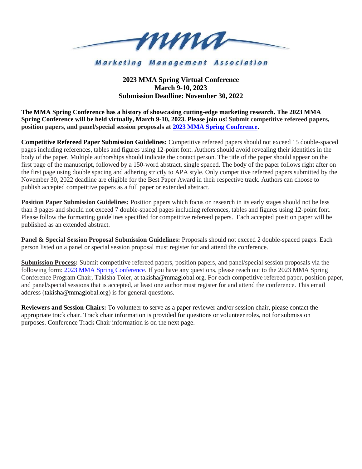

**Marketing Management Association** 

## **2023 MMA Spring Virtual Conference March 9-10, 2023 Submission Deadline: November 30, 2022**

**The MMA Spring Conference has a history of showcasing cutting-edge marketing research. The 2023 MMA Spring Conference will be held virtually, March 9-10, 2023. Please join us! Submit competitive refereed papers, position papers, and panel/special session proposals at 2023 [MMA Spring Conference.](https://forms.gle/ET56PTwcDwxkDToY7)**

**Competitive Refereed Paper Submission Guidelines:** Competitive refereed papers should not exceed 15 double-spaced pages including references, tables and figures using 12-point font. Authors should avoid revealing their identities in the body of the paper. Multiple authorships should indicate the contact person. The title of the paper should appear on the first page of the manuscript, followed by a 150-word abstract, single spaced. The body of the paper follows right after on the first page using double spacing and adhering strictly to APA style. Only competitive refereed papers submitted by the November 30, 2022 deadline are eligible for the Best Paper Award in their respective track. Authors can choose to publish accepted competitive papers as a full paper or extended abstract.

**Position Paper Submission Guidelines:** Position papers which focus on research in its early stages should not be less than 3 pages and should not exceed 7 double-spaced pages including references, tables and figures using 12-point font. Please follow the formatting guidelines specified for competitive refereed papers. Each accepted position paper will be published as an extended abstract.

**Panel & Special Session Proposal Submission Guidelines:** Proposals should not exceed 2 double-spaced pages. Each person listed on a panel or special session proposal must register for and attend the conference.

**Submission Process:** Submit competitive refereed papers, position papers, and panel/special session proposals via the following form: 2023 [MMA Spring Conference.](https://forms.gle/ET56PTwcDwxkDToY7) If you have any questions, please reach out to the 2023 MMA Spring Conference Program Chair, Takisha Toler, at takisha@mmaglobal.org. For each competitive refereed paper, position paper, and panel/special sessions that is accepted, at least one author must register for and attend the conference. This email address (takisha@mmaglobal.org) is for general questions.

**Reviewers and Session Chairs:** To volunteer to serve as a paper reviewer and/or session chair, please contact the appropriate track chair. Track chair information is provided for questions or volunteer roles, not for submission purposes. Conference Track Chair information is on the next page.